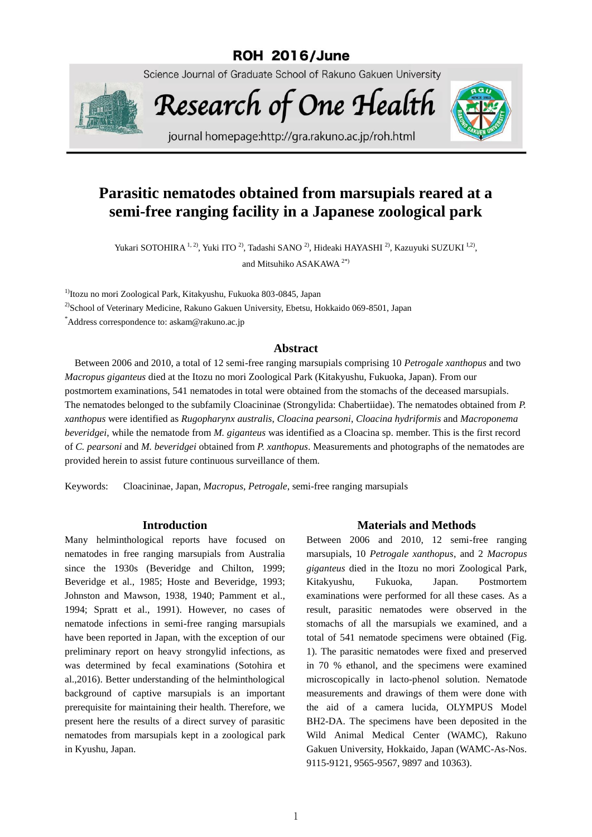## **ROH 2016/June**

Science Journal of Graduate School of Rakuno Gakuen University

Research of One Health



journal homepage:http://gra.rakuno.ac.jp/roh.html

# **Parasitic nematodes obtained from marsupials reared at a semi-free ranging facility in a Japanese zoological park**

Yukari SOTOHIRA<sup>1, 2)</sup>, Yuki ITO<sup>2)</sup>, Tadashi SANO<sup>2)</sup>, Hideaki HAYASHI<sup>2)</sup>, Kazuyuki SUZUKI<sup>I,2)</sup>, and Mitsuhiko ASAKAWA 2\*)

<sup>1)</sup>Itozu no mori Zoological Park, Kitakyushu, Fukuoka 803-0845, Japan

<sup>2)</sup>School of Veterinary Medicine, Rakuno Gakuen University, Ebetsu, Hokkaido 069-8501, Japan

\*Address correspondence to: askam@rakuno.ac.jp

#### **Abstract**

Between 2006 and 2010, a total of 12 semi-free ranging marsupials comprising 10 *Petrogale xanthopus* and two *Macropus giganteus* died at the Itozu no mori Zoological Park (Kitakyushu, Fukuoka, Japan). From our postmortem examinations, 541 nematodes in total were obtained from the stomachs of the deceased marsupials. The nematodes belonged to the subfamily Cloacininae (Strongylida: Chabertiidae). The nematodes obtained from *P. xanthopus* were identified as *Rugopharynx australis*, *Cloacina pearsoni*, *Cloacina hydriformis* and *Macroponema beveridgei*, while the nematode from *M. giganteus* was identified as a Cloacina sp. member. This is the first record of *C. pearsoni* and *M. beveridgei* obtained from *P. xanthopus*. Measurements and photographs of the nematodes are provided herein to assist future continuous surveillance of them.

Keywords: Cloacininae, Japan, *Macropus*, *Petrogale*, semi-free ranging marsupials

#### **Introduction**

Many helminthological reports have focused on nematodes in free ranging marsupials from Australia since the 1930s (Beveridge and Chilton, 1999; Beveridge et al., 1985; Hoste and Beveridge, 1993; Johnston and Mawson, 1938, 1940; Pamment et al., 1994; Spratt et al., 1991). However, no cases of nematode infections in semi-free ranging marsupials have been reported in Japan, with the exception of our preliminary report on heavy strongylid infections, as was determined by fecal examinations (Sotohira et al.,2016). Better understanding of the helminthological background of captive marsupials is an important prerequisite for maintaining their health. Therefore, we present here the results of a direct survey of parasitic nematodes from marsupials kept in a zoological park in Kyushu, Japan.

#### **Materials and Methods**

Between 2006 and 2010, 12 semi-free ranging marsupials, 10 *Petrogale xanthopus*, and 2 *Macropus giganteus* died in the Itozu no mori Zoological Park, Kitakyushu, Fukuoka, Japan. Postmortem examinations were performed for all these cases. As a result, parasitic nematodes were observed in the stomachs of all the marsupials we examined, and a total of 541 nematode specimens were obtained (Fig. 1). The parasitic nematodes were fixed and preserved in 70 % ethanol, and the specimens were examined microscopically in lacto-phenol solution. Nematode measurements and drawings of them were done with the aid of a camera lucida, OLYMPUS Model BH2-DA. The specimens have been deposited in the Wild Animal Medical Center (WAMC), Rakuno Gakuen University, Hokkaido, Japan (WAMC-As-Nos. 9115-9121, 9565-9567, 9897 and 10363).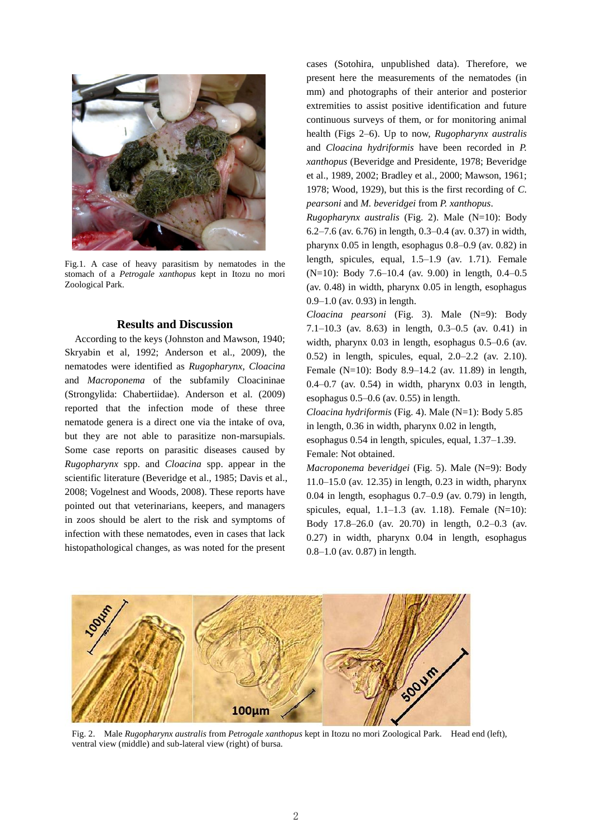

Fig.1. A case of heavy parasitism by nematodes in the stomach of a *Petrogale xanthopus* kept in Itozu no mori Zoological Park.

#### **Results and Discussion**

According to the keys (Johnston and Mawson, 1940; Skryabin et al, 1992; Anderson et al., 2009), the nematodes were identified as *Rugopharynx*, *Cloacina* and *Macroponema* of the subfamily Cloacininae (Strongylida: Chabertiidae). Anderson et al. (2009) reported that the infection mode of these three nematode genera is a direct one via the intake of ova, but they are not able to parasitize non-marsupials. Some case reports on parasitic diseases caused by *Rugopharynx* spp. and *Cloacina* spp. appear in the scientific literature (Beveridge et al., 1985; Davis et al., 2008; Vogelnest and Woods, 2008). These reports have pointed out that veterinarians, keepers, and managers in zoos should be alert to the risk and symptoms of infection with these nematodes, even in cases that lack histopathological changes, as was noted for the present

cases (Sotohira, unpublished data). Therefore, we present here the measurements of the nematodes (in mm) and photographs of their anterior and posterior extremities to assist positive identification and future continuous surveys of them, or for monitoring animal health (Figs 2–6). Up to now, *Rugopharynx australis* and *Cloacina hydriformis* have been recorded in *P. xanthopus* (Beveridge and Presidente, 1978; Beveridge et al., 1989, 2002; Bradley et al., 2000; Mawson, 1961; 1978; Wood, 1929), but this is the first recording of *C. pearsoni* and *M. beveridgei* from *P. xanthopus*.

*Rugopharynx australis* (Fig. 2). Male (N=10): Body 6.2–7.6 (av. 6.76) in length, 0.3–0.4 (av. 0.37) in width, pharynx 0.05 in length, esophagus 0.8–0.9 (av. 0.82) in length, spicules, equal, 1.5–1.9 (av. 1.71). Female (N=10): Body 7.6–10.4 (av. 9.00) in length, 0.4–0.5 (av. 0.48) in width, pharynx 0.05 in length, esophagus 0.9–1.0 (av. 0.93) in length.

*Cloacina pearsoni* (Fig. 3). Male (N=9): Body 7.1–10.3 (av. 8.63) in length, 0.3–0.5 (av. 0.41) in width, pharynx 0.03 in length, esophagus 0.5–0.6 (av. 0.52) in length, spicules, equal, 2.0–2.2 (av. 2.10). Female (N=10): Body 8.9–14.2 (av. 11.89) in length, 0.4–0.7 (av. 0.54) in width, pharynx 0.03 in length, esophagus 0.5–0.6 (av. 0.55) in length.

*Cloacina hydriformis* (Fig. 4). Male (N=1): Body 5.85 in length, 0.36 in width, pharynx 0.02 in length,

esophagus 0.54 in length, spicules, equal, 1.37–1.39. Female: Not obtained.

*Macroponema beveridgei* (Fig. 5). Male (N=9): Body 11.0–15.0 (av. 12.35) in length, 0.23 in width, pharynx 0.04 in length, esophagus 0.7–0.9 (av. 0.79) in length, spicules, equal, 1.1–1.3 (av. 1.18). Female (N=10): Body 17.8–26.0 (av. 20.70) in length, 0.2–0.3 (av. 0.27) in width, pharynx 0.04 in length, esophagus 0.8–1.0 (av. 0.87) in length.



Fig. 2. Male *Rugopharynx australis* from *Petrogale xanthopus* kept in Itozu no mori Zoological Park. Head end (left), ventral view (middle) and sub-lateral view (right) of bursa.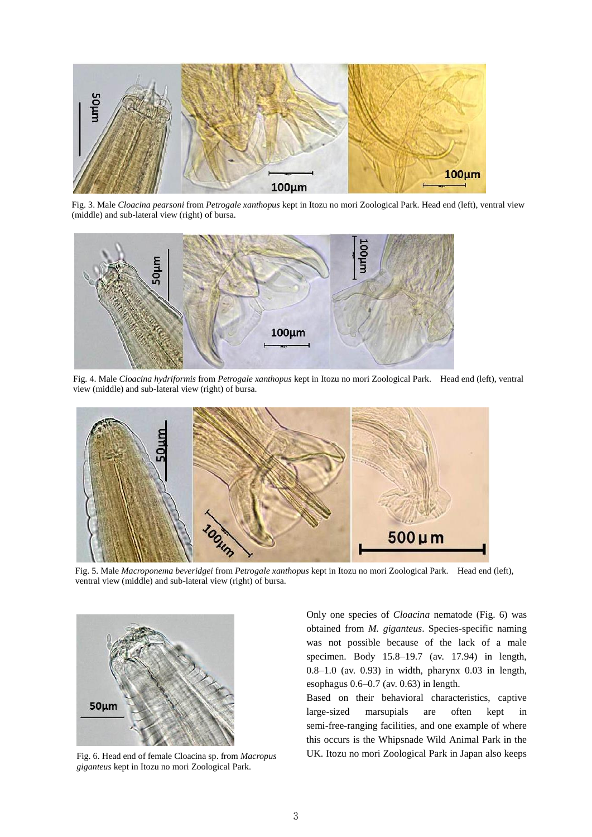

Fig. 3. Male *Cloacina pearsoni* from *Petrogale xanthopus* kept in Itozu no mori Zoological Park. Head end (left), ventral view (middle) and sub-lateral view (right) of bursa.



Fig. 4. Male *Cloacina hydriformis* from *Petrogale xanthopus* kept in Itozu no mori Zoological Park. Head end (left), ventral view (middle) and sub-lateral view (right) of bursa.



Fig. 5. Male *Macroponema beveridgei* from *Petrogale xanthopus* kept in Itozu no mori Zoological Park. Head end (left), ventral view (middle) and sub-lateral view (right) of bursa.



Fig. 6. Head end of female Cloacina sp. from *Macropus giganteus* kept in Itozu no mori Zoological Park.

Only one species of *Cloacina* nematode (Fig. 6) was obtained from *M. giganteus*. Species-specific naming was not possible because of the lack of a male specimen. Body 15.8–19.7 (av. 17.94) in length, 0.8–1.0 (av. 0.93) in width, pharynx 0.03 in length, esophagus 0.6–0.7 (av. 0.63) in length.

Based on their behavioral characteristics, captive large-sized marsupials are often kept in semi-free-ranging facilities, and one example of where this occurs is the Whipsnade Wild Animal Park in the UK. Itozu no mori Zoological Park in Japan also keeps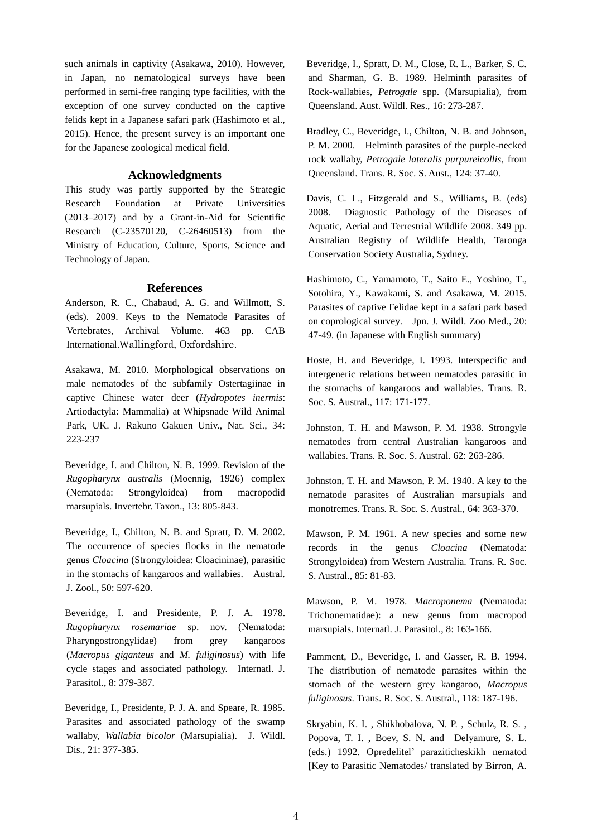such animals in captivity (Asakawa, 2010). However, in Japan, no nematological surveys have been performed in semi-free ranging type facilities, with the exception of one survey conducted on the captive felids kept in a Japanese safari park (Hashimoto et al., 2015). Hence, the present survey is an important one for the Japanese zoological medical field.

#### **Acknowledgments**

This study was partly supported by the Strategic Research Foundation at Private Universities (2013–2017) and by a Grant-in-Aid for Scientific Research (C-23570120, C-26460513) from the Ministry of Education, Culture, Sports, Science and Technology of Japan.

#### **References**

Anderson, R. C., Chabaud, A. G. and Willmott, S. (eds). 2009. Keys to the Nematode Parasites of Vertebrates, Archival Volume. 463 pp. CAB International.Wallingford, Oxfordshire.

Asakawa, M. 2010. Morphological observations on male nematodes of the subfamily Ostertagiinae in captive Chinese water deer (*Hydropotes inermis*: Artiodactyla: Mammalia) at Whipsnade Wild Animal Park, UK. J. Rakuno Gakuen Univ., Nat. Sci., 34: 223-237

Beveridge, I. and Chilton, N. B. 1999. Revision of the *Rugopharynx australis* (Moennig, 1926) complex (Nematoda: Strongyloidea) from macropodid marsupials. Invertebr. Taxon., 13: 805-843.

Beveridge, I., Chilton, N. B. and Spratt, D. M. 2002. The occurrence of species flocks in the nematode genus *Cloacina* (Strongyloidea: Cloacininae), parasitic in the stomachs of kangaroos and wallabies. Austral. J. Zool., 50: 597-620.

Beveridge, I. and Presidente, P. J. A. 1978. *Rugopharynx rosemariae* sp. nov. (Nematoda: Pharyngostrongylidae) from grey kangaroos (*Macropus giganteus* and *M. fuliginosus*) with life cycle stages and associated pathology. Internatl. J. Parasitol., 8: 379-387.

Beveridge, I., Presidente, P. J. A. and Speare, R. 1985. Parasites and associated pathology of the swamp wallaby, *Wallabia bicolor* (Marsupialia). J. Wildl. Dis., 21: 377-385.

Beveridge, I., Spratt, D. M., Close, R. L., Barker, S. C. and Sharman, G. B. 1989. Helminth parasites of Rock-wallabies, *Petrogale* spp. (Marsupialia), from Queensland. Aust. Wildl. Res., 16: 273-287.

Bradley, C., Beveridge, I., Chilton, N. B. and Johnson, P. M. 2000. Helminth parasites of the purple-necked rock wallaby, *Petrogale lateralis purpureicollis*, from Queensland. Trans. R. Soc. S. Aust., 124: 37-40.

Davis, C. L., Fitzgerald and S., Williams, B. (eds) 2008. Diagnostic Pathology of the Diseases of Aquatic, Aerial and Terrestrial Wildlife 2008. 349 pp. Australian Registry of Wildlife Health, Taronga Conservation Society Australia, Sydney.

Hashimoto, C., Yamamoto, T., Saito E., Yoshino, T., Sotohira, Y., Kawakami, S. and Asakawa, M. 2015. Parasites of captive Felidae kept in a safari park based on coprological survey. Jpn. J. Wildl. Zoo Med., 20: 47-49. (in Japanese with English summary)

Hoste, H. and Beveridge, I. 1993. Interspecific and intergeneric relations between nematodes parasitic in the stomachs of kangaroos and wallabies. Trans. R. Soc. S. Austral., 117: 171-177.

Johnston, T. H. and Mawson, P. M. 1938. Strongyle nematodes from central Australian kangaroos and wallabies. Trans. R. Soc. S. Austral. 62: 263-286.

Johnston, T. H. and Mawson, P. M. 1940. A key to the nematode parasites of Australian marsupials and monotremes. Trans. R. Soc. S. Austral., 64: 363-370.

Mawson, P. M. 1961. A new species and some new records in the genus *Cloacina* (Nematoda: Strongyloidea) from Western Australia. Trans. R. Soc. S. Austral., 85: 81-83.

Mawson, P. M. 1978. *Macroponema* (Nematoda: Trichonematidae): a new genus from macropod marsupials. Internatl. J. Parasitol., 8: 163-166.

Pamment, D., Beveridge, I. and Gasser, R. B. 1994. The distribution of nematode parasites within the stomach of the western grey kangaroo, *Macropus fuliginosus*. Trans. R. Soc. S. Austral., 118: 187-196.

Skryabin, K. I. , Shikhobalova, N. P. , Schulz, R. S. , Popova, T. I. , Boev, S. N. and Delyamure, S. L. (eds.) 1992. Opredelitel' paraziticheskikh nematod [Key to Parasitic Nematodes/ translated by Birron, A.